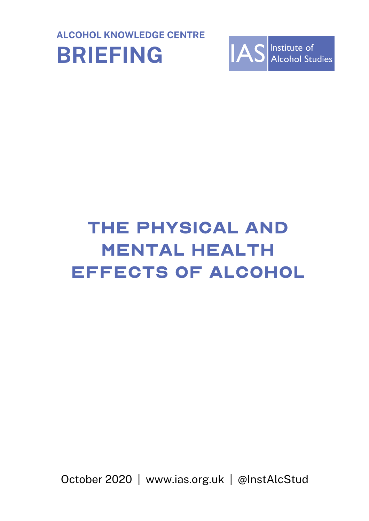



# The Physical and mental health effects of alcohol

October 2020 | www.ias.org.uk | @InstAlcStud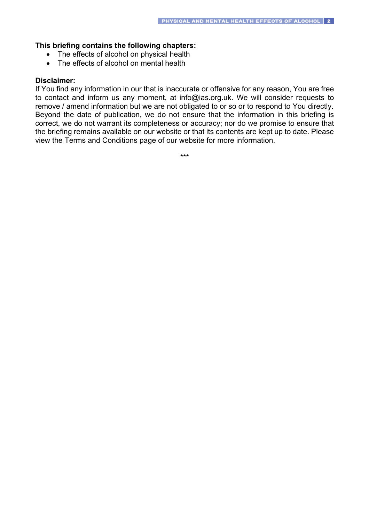### **This briefing contains the following chapters:**

- The effects of alcohol on physical health
- The effects of alcohol on mental health

#### **Disclaimer:**

If You find any information in our that is inaccurate or offensive for any reason, You are free to contact and inform us any moment, at info@ias.org.uk. We will consider requests to remove / amend information but we are not obligated to or so or to respond to You directly. Beyond the date of publication, we do not ensure that the information in this briefing is correct, we do not warrant its completeness or accuracy; nor do we promise to ensure that the briefing remains available on our website or that its contents are kept up to date. Please view the Terms and Conditions page of our website for more information.

\*\*\*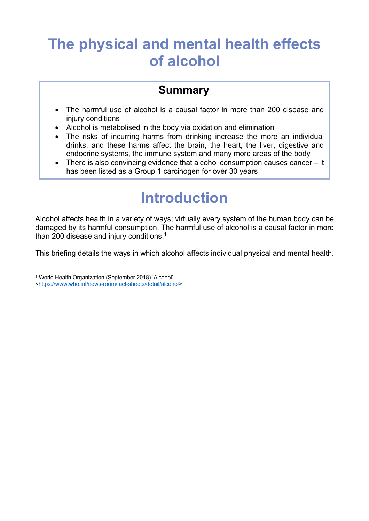### **The physical and mental health effects of alcohol**

### **Summary**

- The harmful use of alcohol is a causal factor in more than 200 disease and injury conditions
- Alcohol is metabolised in the body via oxidation and elimination
- The risks of incurring harms from drinking increase the more an individual drinks, and these harms affect the brain, the heart, the liver, digestive and endocrine systems, the immune system and many more areas of the body
- There is also convincing evidence that alcohol consumption causes cancer it has been listed as a Group 1 carcinogen for over 30 years

## **Introduction**

Alcohol affects health in a variety of ways; virtually every system of the human body can be damaged by its harmful consumption. The harmful use of alcohol is a causal factor in more than 200 disease and injury conditions.<sup>1</sup>

This briefing details the ways in which alcohol affects individual physical and mental health.

<sup>1</sup> World Health Organization (September 2018) 'Alcohol'

<sup>&</sup>lt;https://www.who.int/news-room/fact-sheets/detail/alcohol>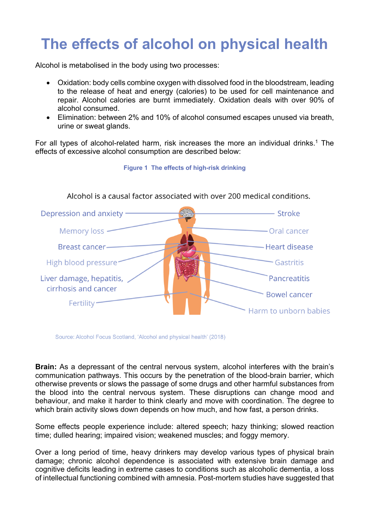## **The effects of alcohol on physical health**

Alcohol is metabolised in the body using two processes:

- Oxidation: body cells combine oxygen with dissolved food in the bloodstream, leading to the release of heat and energy (calories) to be used for cell maintenance and repair. Alcohol calories are burnt immediately. Oxidation deals with over 90% of alcohol consumed.
- Elimination: between 2% and 10% of alcohol consumed escapes unused via breath, urine or sweat glands.

For all types of alcohol-related harm, risk increases the more an individual drinks.<sup>1</sup> The effects of excessive alcohol consumption are described below:

**Figure 1 The effects of high-risk drinking**



Source: Alcohol Focus Scotland, 'Alcohol and physical health' (2018)

**Brain:** As a depressant of the central nervous system, alcohol interferes with the brain's communication pathways. This occurs by the penetration of the blood-brain barrier, which otherwise prevents or slows the passage of some drugs and other harmful substances from the blood into the central nervous system. These disruptions can change mood and behaviour, and make it harder to think clearly and move with coordination. The degree to which brain activity slows down depends on how much, and how fast, a person drinks.

Some effects people experience include: altered speech; hazy thinking; slowed reaction time; dulled hearing; impaired vision; weakened muscles; and foggy memory.

Over a long period of time, heavy drinkers may develop various types of physical brain damage; chronic alcohol dependence is associated with extensive brain damage and cognitive deficits leading in extreme cases to conditions such as alcoholic dementia, a loss of intellectual functioning combined with amnesia. Post-mortem studies have suggested that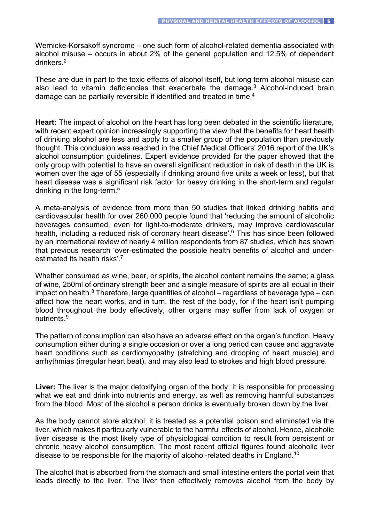Wernicke-Korsakoff syndrome – one such form of alcohol-related dementia associated with alcohol misuse – occurs in about 2% of the general population and 12.5% of dependent drinkers.2

These are due in part to the toxic effects of alcohol itself, but long term alcohol misuse can also lead to vitamin deficiencies that exacerbate the damage. $3$  Alcohol-induced brain damage can be partially reversible if identified and treated in time.<sup>4</sup>

**Heart:** The impact of alcohol on the heart has long been debated in the scientific literature, with recent expert opinion increasingly supporting the view that the benefits for heart health of drinking alcohol are less and apply to a smaller group of the population than previously thought. This conclusion was reached in the Chief Medical Officers' 2016 report of the UK's alcohol consumption guidelines. Expert evidence provided for the paper showed that the only group with potential to have an overall significant reduction in risk of death in the UK is women over the age of 55 (especially if drinking around five units a week or less), but that heart disease was a significant risk factor for heavy drinking in the short-term and regular drinking in the long-term.5

A meta-analysis of evidence from more than 50 studies that linked drinking habits and cardiovascular health for over 260,000 people found that 'reducing the amount of alcoholic beverages consumed, even for light-to-moderate drinkers, may improve cardiovascular health, including a reduced risk of coronary heart disease'. <sup>6</sup> This has since been followed by an international review of nearly 4 million respondents from 87 studies, which has shown that previous research 'over-estimated the possible health benefits of alcohol and underestimated its health risks'.<sup>7</sup>

Whether consumed as wine, beer, or spirits, the alcohol content remains the same; a glass of wine, 250ml of ordinary strength beer and a single measure of spirits are all equal in their impact on health. $8$  Therefore, large quantities of alcohol – regardless of beverage type – can affect how the heart works, and in turn, the rest of the body, for if the heart isn't pumping blood throughout the body effectively, other organs may suffer from lack of oxygen or nutrients<sup>9</sup>

The pattern of consumption can also have an adverse effect on the organ's function. Heavy consumption either during a single occasion or over a long period can cause and aggravate heart conditions such as cardiomyopathy (stretching and drooping of heart muscle) and arrhythmias (irregular heart beat), and may also lead to strokes and high blood pressure.

**Liver:** The liver is the major detoxifying organ of the body; it is responsible for processing what we eat and drink into nutrients and energy, as well as removing harmful substances from the blood. Most of the alcohol a person drinks is eventually broken down by the liver.

As the body cannot store alcohol, it is treated as a potential poison and eliminated via the liver, which makes it particularly vulnerable to the harmful effects of alcohol. Hence, alcoholic liver disease is the most likely type of physiological condition to result from persistent or chronic heavy alcohol consumption. The most recent official figures found alcoholic liver disease to be responsible for the majority of alcohol-related deaths in England.<sup>10</sup>

The alcohol that is absorbed from the stomach and small intestine enters the portal vein that leads directly to the liver. The liver then effectively removes alcohol from the body by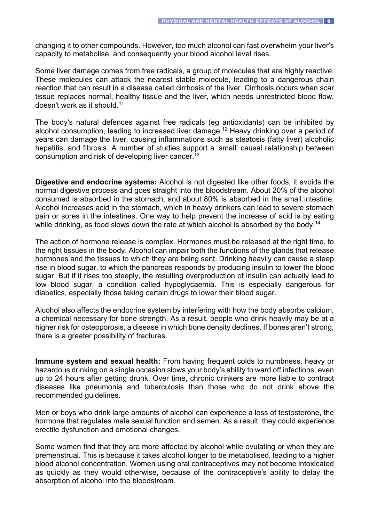changing it to other compounds. However, too much alcohol can fast overwhelm your liver's capacity to metabolise, and consequently your blood alcohol level rises.

Some liver damage comes from free radicals, a group of molecules that are highly reactive. These molecules can attack the nearest stable molecule, leading to a dangerous chain reaction that can result in a disease called cirrhosis of the liver. Cirrhosis occurs when scar tissue replaces normal, healthy tissue and the liver, which needs unrestricted blood flow, doesn't work as it should.11

The body's natural defences against free radicals (eg antioxidants) can be inhibited by alcohol consumption, leading to increased liver damage.<sup>12</sup> Heavy drinking over a period of years can damage the liver, causing inflammations such as steatosis (fatty liver) alcoholic hepatitis, and fibrosis. A number of studies support a 'small' causal relationship between consumption and risk of developing liver cancer.<sup>13</sup>

**Digestive and endocrine systems:** Alcohol is not digested like other foods; it avoids the normal digestive process and goes straight into the bloodstream. About 20% of the alcohol consumed is absorbed in the stomach, and about 80% is absorbed in the small intestine. Alcohol increases acid in the stomach, which in heavy drinkers can lead to severe stomach pain or sores in the intestines. One way to help prevent the increase of acid is by eating while drinking, as food slows down the rate at which alcohol is absorbed by the body.<sup>14</sup>

The action of hormone release is complex. Hormones must be released at the right time, to the right tissues in the body. Alcohol can impair both the functions of the glands that release hormones and the tissues to which they are being sent. Drinking heavily can cause a steep rise in blood sugar, to which the pancreas responds by producing insulin to lower the blood sugar. But if it rises too steeply, the resulting overproduction of insulin can actually lead to low blood sugar, a condition called hypoglycaemia. This is especially dangerous for diabetics, especially those taking certain drugs to lower their blood sugar.

Alcohol also affects the endocrine system by interfering with how the body absorbs calcium, a chemical necessary for bone strength. As a result, people who drink heavily may be at a higher risk for osteoporosis, a disease in which bone density declines. If bones aren't strong, there is a greater possibility of fractures.

**Immune system and sexual health:** From having frequent colds to numbness, heavy or hazardous drinking on a single occasion slows your body's ability to ward off infections, even up to 24 hours after getting drunk. Over time, chronic drinkers are more liable to contract diseases like pneumonia and tuberculosis than those who do not drink above the recommended guidelines.

Men or boys who drink large amounts of alcohol can experience a loss of testosterone, the hormone that regulates male sexual function and semen. As a result, they could experience erectile dysfunction and emotional changes.

Some women find that they are more affected by alcohol while ovulating or when they are premenstrual. This is because it takes alcohol longer to be metabolised, leading to a higher blood alcohol concentration. Women using oral contraceptives may not become intoxicated as quickly as they would otherwise, because of the contraceptive's ability to delay the absorption of alcohol into the bloodstream.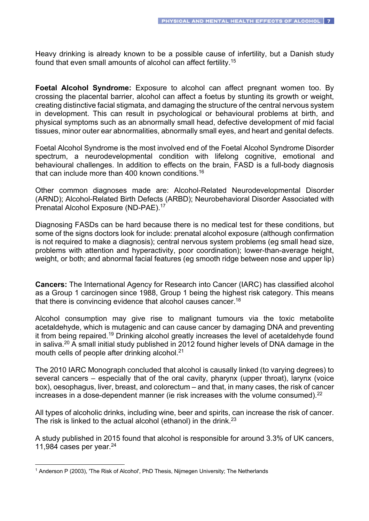Heavy drinking is already known to be a possible cause of infertility, but a Danish study found that even small amounts of alcohol can affect fertility.15

**Foetal Alcohol Syndrome:** Exposure to alcohol can affect pregnant women too. By crossing the placental barrier, alcohol can affect a foetus by stunting its growth or weight, creating distinctive facial stigmata, and damaging the structure of the central nervous system in development. This can result in psychological or behavioural problems at birth, and physical symptoms such as an abnormally small head, defective development of mid facial tissues, minor outer ear abnormalities, abnormally small eyes, and heart and genital defects.

Foetal Alcohol Syndrome is the most involved end of the Foetal Alcohol Syndrome Disorder spectrum, a neurodevelopmental condition with lifelong cognitive, emotional and behavioural challenges. In addition to effects on the brain, FASD is a full-body diagnosis that can include more than 400 known conditions.16

Other common diagnoses made are: Alcohol-Related Neurodevelopmental Disorder (ARND); Alcohol-Related Birth Defects (ARBD); Neurobehavioral Disorder Associated with Prenatal Alcohol Exposure (ND-PAE). 17

Diagnosing FASDs can be hard because there is no medical test for these conditions, but some of the signs doctors look for include: prenatal alcohol exposure (although confirmation is not required to make a diagnosis); central nervous system problems (eg small head size, problems with attention and hyperactivity, poor coordination); lower-than-average height, weight, or both; and abnormal facial features (eg smooth ridge between nose and upper lip)

**Cancers:** The International Agency for Research into Cancer (IARC) has classified alcohol as a Group 1 carcinogen since 1988, Group 1 being the highest risk category. This means that there is convincing evidence that alcohol causes cancer.<sup>18</sup>

Alcohol consumption may give rise to malignant tumours via the toxic metabolite acetaldehyde, which is mutagenic and can cause cancer by damaging DNA and preventing it from being repaired.19 Drinking alcohol greatly increases the level of acetaldehyde found in saliva.20 A small initial study published in 2012 found higher levels of DNA damage in the mouth cells of people after drinking alcohol.<sup>21</sup>

The 2010 IARC Monograph concluded that alcohol is causally linked (to varying degrees) to several cancers – especially that of the oral cavity, pharynx (upper throat), larynx (voice box), oesophagus, liver, breast, and colorectum – and that, in many cases, the risk of cancer increases in a dose-dependent manner (ie risk increases with the volume consumed).<sup>22</sup>

All types of alcoholic drinks, including wine, beer and spirits, can increase the risk of cancer. The risk is linked to the actual alcohol (ethanol) in the drink.<sup>23</sup>

A study published in 2015 found that alcohol is responsible for around 3.3% of UK cancers, 11,984 cases per year. $24$ 

<sup>&</sup>lt;sup>1</sup> Anderson P (2003), 'The Risk of Alcohol', PhD Thesis, Nijmegen University; The Netherlands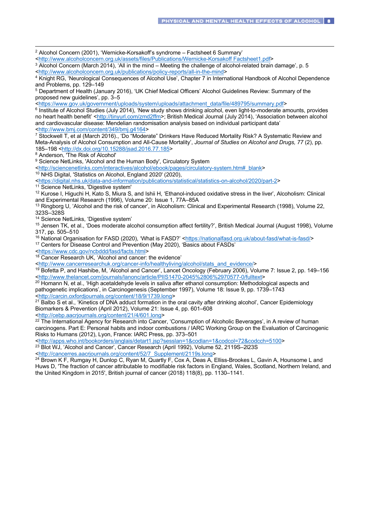$2$  Alcohol Concern (2001), 'Wernicke-Korsakoff's syndrome – Factsheet 6 Summary' <http://www.alcoholconcern.org.uk/assets/files/Publications/Wernicke-Korsakoff Factsheet1.pdf> <sup>3</sup> Alcohol Concern (March 2014), 'All in the mind – Meeting the challenge of alcohol-related brain damage', p. 5 <http://www.alcoholconcern.org.uk/publications/policy-reports/all-in-the-mind> <sup>4</sup> Knight RG, 'Neurological Consequences of Alcohol Use', Chapter 7 in International Handbook of Alcohol Dependence and Problems, pp. 129–149 <sup>5</sup> Department of Health (January 2016), 'UK Chief Medical Officers' Alcohol Guidelines Review: Summary of the proposed new guidelines', pp. 3–5 <https://www.gov.uk/government/uploads/system/uploads/attachment\_data/file/489795/summary.pdf> <sup>6</sup> Institute of Alcohol Studies (July 2014), 'New study shows drinking alcohol, even light-to-moderate amounts, provides no heart health benefit' <http://tinyurl.com/zmd2ffm>; British Medical Journal (July 2014), 'Association between alcohol and cardiovascular disease: Mendelian randomisation analysis based on individual participant data' <http://www.bmj.com/content/349/bmj.g4164> <sup>7</sup> Stockwell T, et al (March 2016)., 'Do "Moderate" Drinkers Have Reduced Mortality Risk? A Systematic Review and Meta-Analysis of Alcohol Consumption and All-Cause Mortality', *Journal of Studies on Alcohol and Drugs, 77* (2), pp. 185–198 <http://dx.doi.org/10.15288/jsad.2016.77.185> <sup>8</sup> Anderson, 'The Risk of Alcohol' <sup>9</sup> Science NetLinks, 'Alcohol and the Human Body', Circulatory System <http://sciencenetlinks.com/interactives/alcohol/ebook/pages/circulatory-system.htm#\_blank> <sup>10</sup> NHS Digital, 'Statistics on Alcohol, England 2020' (2020), <https://digital.nhs.uk/data-and-information/publications/statistical/statistics-on-alcohol/2020/part-2> <sup>11</sup> Science NetLinks, 'Digestive system' <sup>12</sup> Kurose I, Higuchi H, Kato S, Miura S, and Ishii H, 'Ethanol-induced oxidative stress in the liver', Alcoholism: Clinical and Experimental Research (1996), Volume 20: Issue 1, 77A–85A <sup>13</sup> Ringborg U, 'Alcohol and the risk of cancer', in Alcoholism: Clinical and Experimental Research (1998), Volume 22, 323S–328S <sup>14</sup> Science NetLinks, 'Digestive system' <sup>15</sup> Jensen TK, et al., 'Does moderate alcohol consumption affect fertility?', British Medical Journal (August 1998), Volume 317, pp. 505–510 <sup>16</sup> National Organisation for FASD (2020), 'What is FASD?' <https://nationalfasd.org.uk/about-fasd/what-is-fasd/> <sup>17</sup> Centers for Disease Control and Prevention (May 2020), 'Basics about FASDs' <https://www.cdc.gov/ncbddd/fasd/facts.html> <sup>18</sup> Cancer Research UK, 'Alcohol and cancer: the evidence' <http://www.cancerresearchuk.org/cancer-info/healthyliving/alcohol/stats\_and\_evidence/> <sup>19</sup> Bofetta P, and Hashibe, M, 'Alcohol and Cancer', Lancet Oncology (February 2006), Volume 7: Issue 2, pp. 149–156 <http://www.thelancet.com/journals/lanonc/article/PIIS1470-2045%2806%2970577-0/fulltext> <sup>20</sup> Homann N, et al., 'High acetaldehyde levels in saliva after ethanol consumption: Methodological aspects and pathogenetic implications', in Carcinogenesis (September 1997), Volume 18: Issue 9, pp. 1739–1743 <http://carcin.oxfordjournals.org/content/18/9/1739.long>  $2<sup>1</sup>$  Balbo S et al., 'Kinetics of DNA adduct formation in the oral cavity after drinking alcohol', Cancer Epidemiology Biomarkers & Prevention (April 2012), Volume 21: Issue 4, pp. 601–608 <http://cebp.aacrjournals.org/content/21/4/601.long> <sup>22</sup> The International Agency for Research into Cancer, 'Consumption of Alcoholic Beverages', in A review of human carcinogens. Part E: Personal habits and indoor combustions / IARC Working Group on the Evaluation of Carcinogenic Risks to Humans (2012), Lyon, France: IARC Press, pp. 373–501 <http://apps.who.int/bookorders/anglais/detart1.jsp?sesslan=1&codlan=1&codcol=72&codcch=5100> <sup>23</sup> Blot WJ, 'Alcohol and Cancer', Cancer Research (April 1992), Volume 52, 2119S-2l23S <http://cancerres.aacrjournals.org/content/52/7\_Supplement/2119s.long> <sup>24</sup> Brown K F, Rumgay H, Dunlop C, Ryan M, Quartly F, Cox A, Deas A, Elliss-Brookes L, Gavin A, Hounsome L and Huws D, 'The fraction of cancer attributable to modifiable risk factors in England, Wales, Scotland, Northern Ireland, and the United Kingdom in 2015', British journal of cancer (2018) 118(8), pp. 1130–1141.